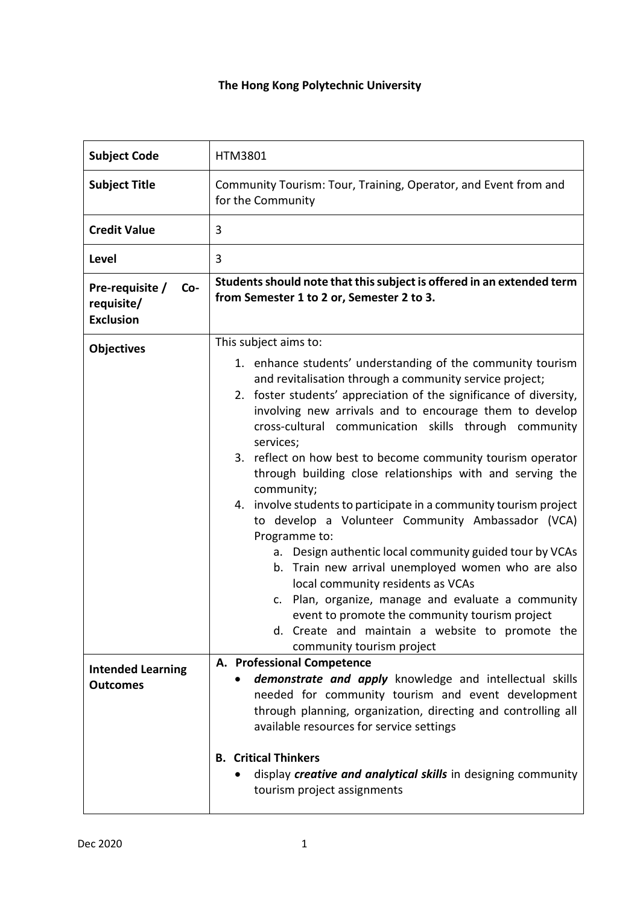| <b>Subject Code</b>                                      | <b>HTM3801</b>                                                                                                                                                                                                                                                                                                                                                                                                                                                                                                                                                                                                                                                                                                                                                                                                                                                                                                                                                                                 |
|----------------------------------------------------------|------------------------------------------------------------------------------------------------------------------------------------------------------------------------------------------------------------------------------------------------------------------------------------------------------------------------------------------------------------------------------------------------------------------------------------------------------------------------------------------------------------------------------------------------------------------------------------------------------------------------------------------------------------------------------------------------------------------------------------------------------------------------------------------------------------------------------------------------------------------------------------------------------------------------------------------------------------------------------------------------|
| <b>Subject Title</b>                                     | Community Tourism: Tour, Training, Operator, and Event from and<br>for the Community                                                                                                                                                                                                                                                                                                                                                                                                                                                                                                                                                                                                                                                                                                                                                                                                                                                                                                           |
| <b>Credit Value</b>                                      | 3                                                                                                                                                                                                                                                                                                                                                                                                                                                                                                                                                                                                                                                                                                                                                                                                                                                                                                                                                                                              |
| Level                                                    | 3                                                                                                                                                                                                                                                                                                                                                                                                                                                                                                                                                                                                                                                                                                                                                                                                                                                                                                                                                                                              |
| Pre-requisite /<br>Co-<br>requisite/<br><b>Exclusion</b> | Students should note that this subject is offered in an extended term<br>from Semester 1 to 2 or, Semester 2 to 3.                                                                                                                                                                                                                                                                                                                                                                                                                                                                                                                                                                                                                                                                                                                                                                                                                                                                             |
| <b>Objectives</b>                                        | This subject aims to:                                                                                                                                                                                                                                                                                                                                                                                                                                                                                                                                                                                                                                                                                                                                                                                                                                                                                                                                                                          |
|                                                          | 1. enhance students' understanding of the community tourism<br>and revitalisation through a community service project;<br>2. foster students' appreciation of the significance of diversity,<br>involving new arrivals and to encourage them to develop<br>cross-cultural communication skills through community<br>services;<br>3. reflect on how best to become community tourism operator<br>through building close relationships with and serving the<br>community;<br>4. involve students to participate in a community tourism project<br>to develop a Volunteer Community Ambassador (VCA)<br>Programme to:<br>a. Design authentic local community guided tour by VCAs<br>b. Train new arrival unemployed women who are also<br>local community residents as VCAs<br>c. Plan, organize, manage and evaluate a community<br>event to promote the community tourism project<br>d. Create and maintain a website to promote the<br>community tourism project<br>A. Professional Competence |
| <b>Intended Learning</b><br><b>Outcomes</b>              | demonstrate and apply knowledge and intellectual skills<br>needed for community tourism and event development<br>through planning, organization, directing and controlling all<br>available resources for service settings                                                                                                                                                                                                                                                                                                                                                                                                                                                                                                                                                                                                                                                                                                                                                                     |
|                                                          | <b>B.</b> Critical Thinkers<br>display creative and analytical skills in designing community<br>tourism project assignments                                                                                                                                                                                                                                                                                                                                                                                                                                                                                                                                                                                                                                                                                                                                                                                                                                                                    |